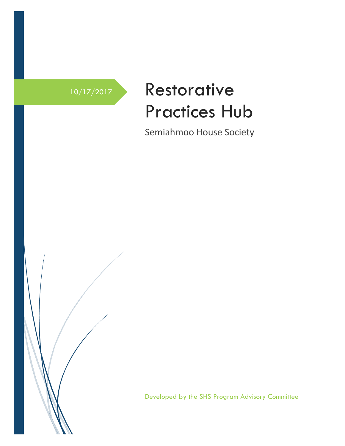

## 10/17/2017 Restorative Practices Hub

Semiahmoo House Society

Developed by the SHS Program Advisory Committee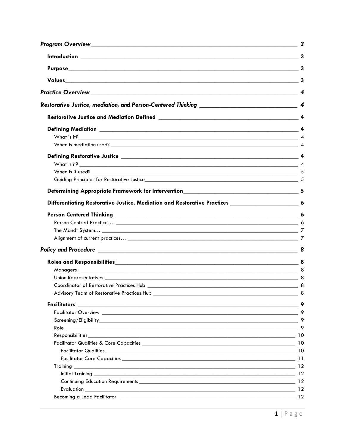|                                                                                               | $\overline{\mathbf{3}}$       |
|-----------------------------------------------------------------------------------------------|-------------------------------|
|                                                                                               |                               |
|                                                                                               |                               |
|                                                                                               |                               |
|                                                                                               |                               |
|                                                                                               |                               |
|                                                                                               |                               |
|                                                                                               |                               |
|                                                                                               |                               |
|                                                                                               |                               |
|                                                                                               |                               |
|                                                                                               |                               |
| Differentiating Restorative Justice, Mediation and Restorative Practices ___________________6 |                               |
|                                                                                               |                               |
|                                                                                               |                               |
|                                                                                               |                               |
|                                                                                               |                               |
|                                                                                               |                               |
|                                                                                               |                               |
|                                                                                               |                               |
|                                                                                               |                               |
|                                                                                               |                               |
|                                                                                               | $\overline{\qquad \qquad }$ 8 |
|                                                                                               |                               |
|                                                                                               |                               |
|                                                                                               |                               |
|                                                                                               |                               |
|                                                                                               |                               |
|                                                                                               |                               |
|                                                                                               |                               |
|                                                                                               |                               |
|                                                                                               |                               |
|                                                                                               |                               |
|                                                                                               |                               |
|                                                                                               |                               |
|                                                                                               |                               |